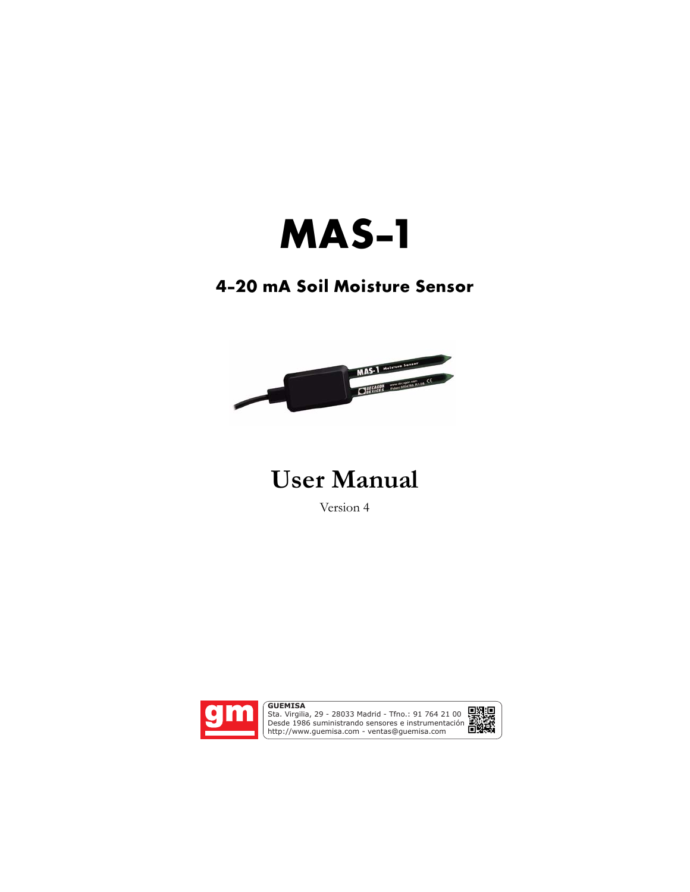# **MAS-1**

### **4-20 mA Soil Moisture Sensor**



## **User Manual**

Version 4



Sta. Virgilia, 29 - 28033 Madrid - Tfno.: 91 764 21 00 Desde 1986 suministrando sensores e instrumentación. http://www.guemisa.com - ventas@guemisa.com

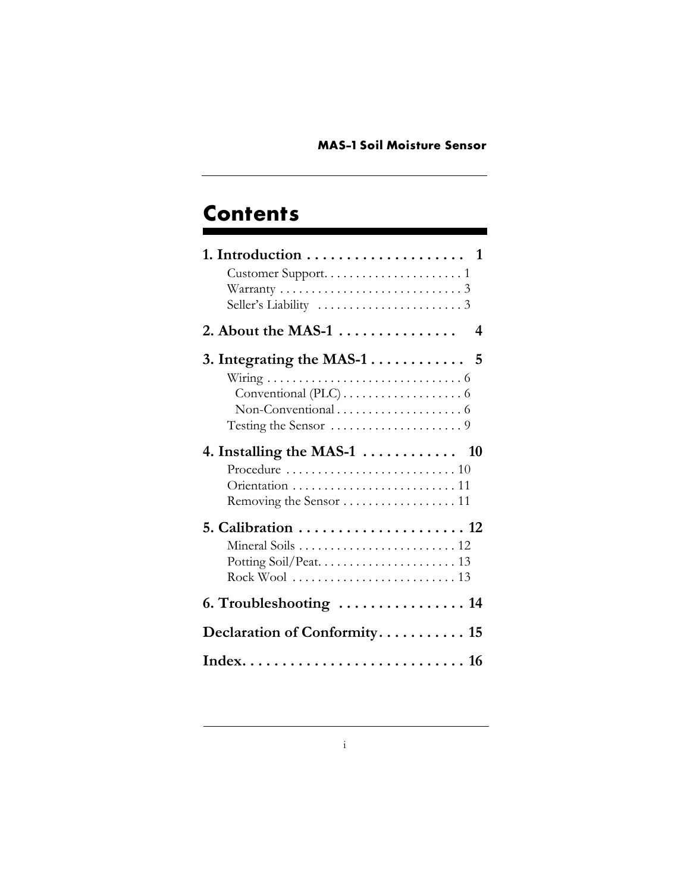### **Contents**

| 1. Introduction $\ldots \ldots \ldots \ldots \ldots \ldots$ 1        |
|----------------------------------------------------------------------|
| 2. About the MAS-1 $\dots \dots \dots \dots$<br>4                    |
|                                                                      |
| 4. Installing the MAS-1 $\dots \dots \dots \dots$ 10                 |
| 5. Calibration $\ldots \ldots \ldots \ldots \ldots \ldots \ldots$ 12 |
|                                                                      |
| Declaration of Conformity 15                                         |
|                                                                      |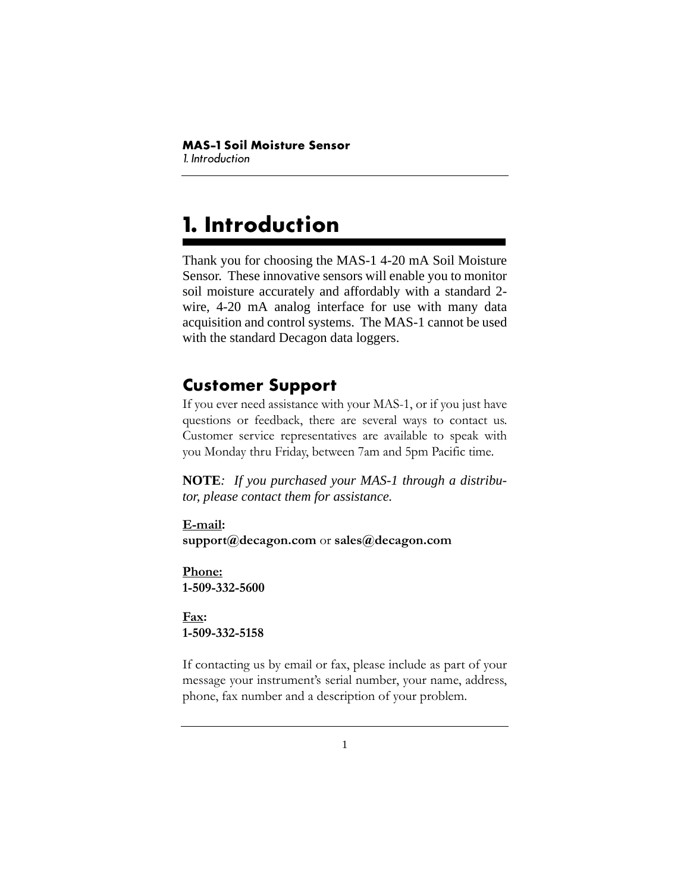# <span id="page-2-0"></span>**1. Introduction**

Thank you for choosing the MAS-1 4-20 mA Soil Moisture Sensor. These innovative sensors will enable you to monitor soil moisture accurately and affordably with a standard 2 wire, 4-20 mA analog interface for use with many data acquisition and control systems. The MAS-1 cannot be used with the standard Decagon data loggers.

### <span id="page-2-1"></span>**Customer Support**

If you ever need assistance with your MAS-1, or if you just have questions or feedback, there are several ways to contact us. Customer service representatives are available to speak with you Monday thru Friday, between 7am and 5pm Pacific time.

**NOTE***: If you purchased your MAS-1 through a distributor, please contact them for assistance.*

**E-mail: support@decagon.com** or **sales@decagon.com**

**Phone: 1-509-332-5600** 

**Fax: 1-509-332-5158**

If contacting us by email or fax, please include as part of your message your instrument's serial number, your name, address, phone, fax number and a description of your problem.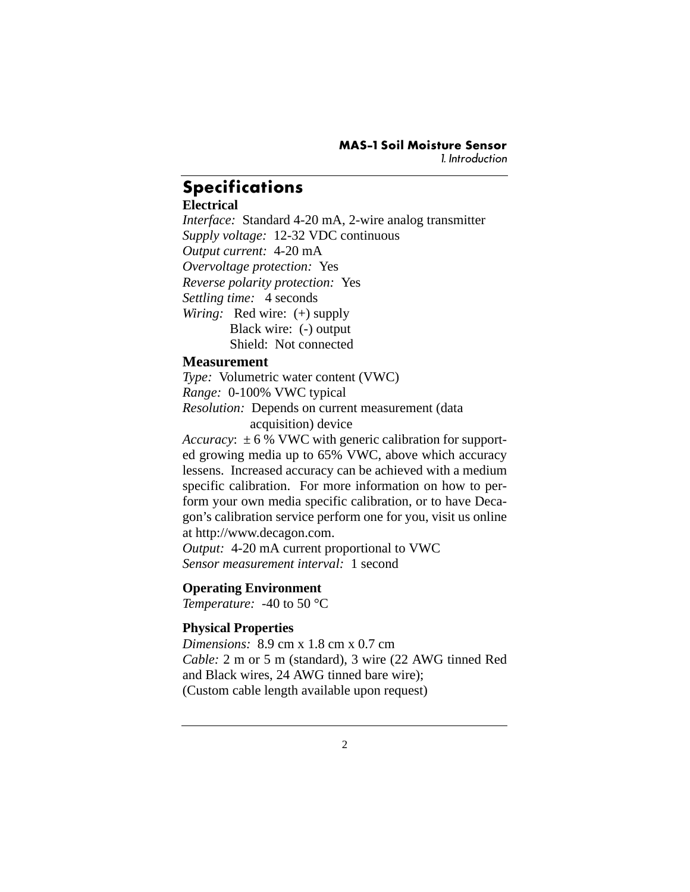#### **Specifications**

#### **Electrical**

*Interface:* Standard 4-20 mA, 2-wire analog transmitter *Supply voltage:* 12-32 VDC continuous *Output current:* 4-20 mA *Overvoltage protection:* Yes *Reverse polarity protection:* Yes *Settling time:* 4 seconds *Wiring:* Red wire: (+) supply **Black wire:** (-) output Shield: Not connected

#### **Measurement**

*Type:* Volumetric water content (VWC) *Range:* 0-100% VWC typical *Resolution:* Depends on current measurement (data acquisition) device

*Accuracy*:  $\pm 6$  % VWC with generic calibration for supported growing media up to 65% VWC, above which accuracy lessens. Increased accuracy can be achieved with a medium specific calibration. For more information on how to perform your own media specific calibration, or to have Decagon's calibration service perform one for you, visit us online at http://www.decagon.com.

*Output:* 4-20 mA current proportional to VWC *Sensor measurement interval:* 1 second

#### **Operating Environment**

*Temperature:* -40 to 50 °C

#### **Physical Properties**

*Dimensions:* 8.9 cm x 1.8 cm x 0.7 cm *Cable:* 2 m or 5 m (standard), 3 wire (22 AWG tinned Red and Black wires, 24 AWG tinned bare wire); (Custom cable length available upon request)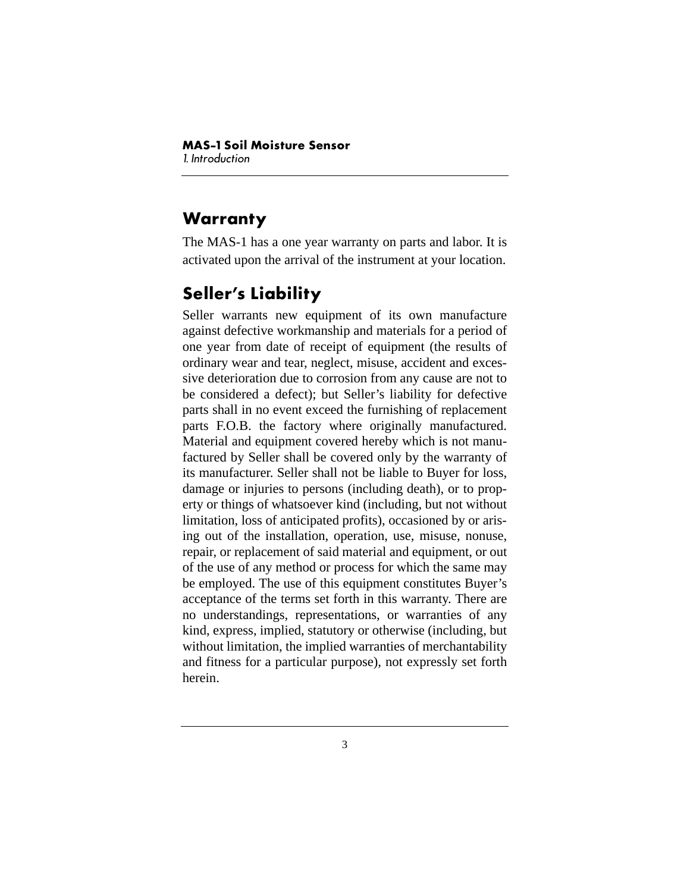### <span id="page-4-0"></span>**Warranty**

The MAS-1 has a one year warranty on parts and labor. It is activated upon the arrival of the instrument at your location.

### <span id="page-4-1"></span>**Seller's Liability**

Seller warrants new equipment of its own manufacture against defective workmanship and materials for a period of one year from date of receipt of equipment (the results of ordinary wear and tear, neglect, misuse, accident and excessive deterioration due to corrosion from any cause are not to be considered a defect); but Seller's liability for defective parts shall in no event exceed the furnishing of replacement parts F.O.B. the factory where originally manufactured. Material and equipment covered hereby which is not manufactured by Seller shall be covered only by the warranty of its manufacturer. Seller shall not be liable to Buyer for loss, damage or injuries to persons (including death), or to property or things of whatsoever kind (including, but not without limitation, loss of anticipated profits), occasioned by or arising out of the installation, operation, use, misuse, nonuse, repair, or replacement of said material and equipment, or out of the use of any method or process for which the same may be employed. The use of this equipment constitutes Buyer's acceptance of the terms set forth in this warranty. There are no understandings, representations, or warranties of any kind, express, implied, statutory or otherwise (including, but without limitation, the implied warranties of merchantability and fitness for a particular purpose), not expressly set forth herein.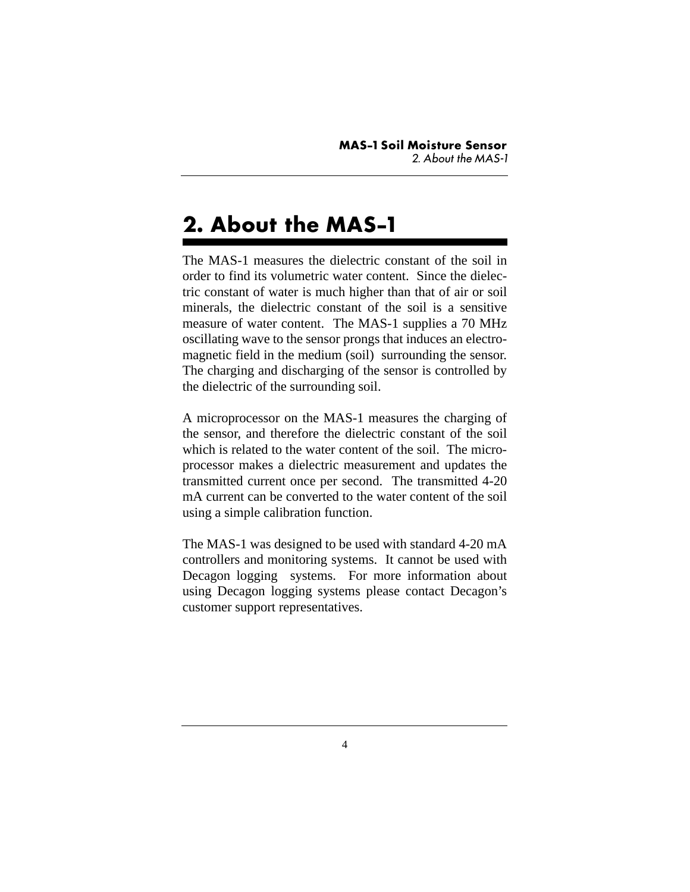# <span id="page-5-0"></span>**2. About the MAS-1**

The MAS-1 measures the dielectric constant of the soil in order to find its volumetric water content. Since the dielectric constant of water is much higher than that of air or soil minerals, the dielectric constant of the soil is a sensitive measure of water content. The MAS-1 supplies a 70 MHz oscillating wave to the sensor prongs that induces an electromagnetic field in the medium (soil) surrounding the sensor. The charging and discharging of the sensor is controlled by the dielectric of the surrounding soil.

A microprocessor on the MAS-1 measures the charging of the sensor, and therefore the dielectric constant of the soil which is related to the water content of the soil. The microprocessor makes a dielectric measurement and updates the transmitted current once per second. The transmitted 4-20 mA current can be converted to the water content of the soil using a simple calibration function.

The MAS-1 was designed to be used with standard 4-20 mA controllers and monitoring systems. It cannot be used with Decagon logging systems. For more information about using Decagon logging systems please contact Decagon's customer support representatives.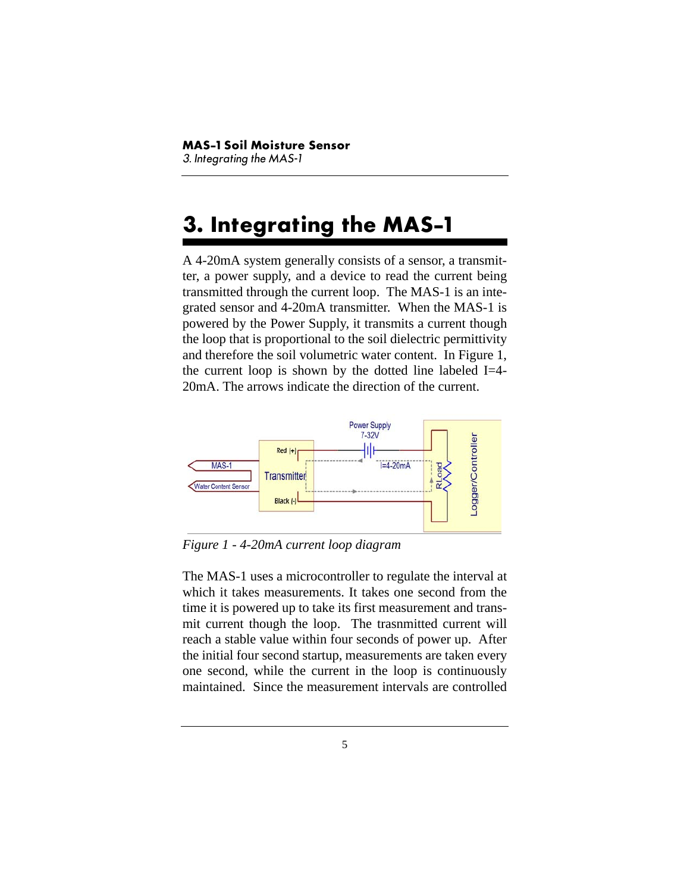# <span id="page-6-0"></span>**3. Integrating the MAS-1**

A 4-20mA system generally consists of a sensor, a transmitter, a power supply, and a device to read the current being transmitted through the current loop. The MAS-1 is an integrated sensor and 4-20mA transmitter. When the MAS-1 is powered by the Power Supply, it transmits a current though the loop that is proportional to the soil dielectric permittivity and therefore the soil volumetric water content. In Figure 1, the current loop is shown by the dotted line labeled  $I=4$ -20mA. The arrows indicate the direction of the current.



*Figure 1 - 4-20mA current loop diagram*

The MAS-1 uses a microcontroller to regulate the interval at which it takes measurements. It takes one second from the time it is powered up to take its first measurement and transmit current though the loop. The trasnmitted current will reach a stable value within four seconds of power up. After the initial four second startup, measurements are taken every one second, while the current in the loop is continuously maintained. Since the measurement intervals are controlled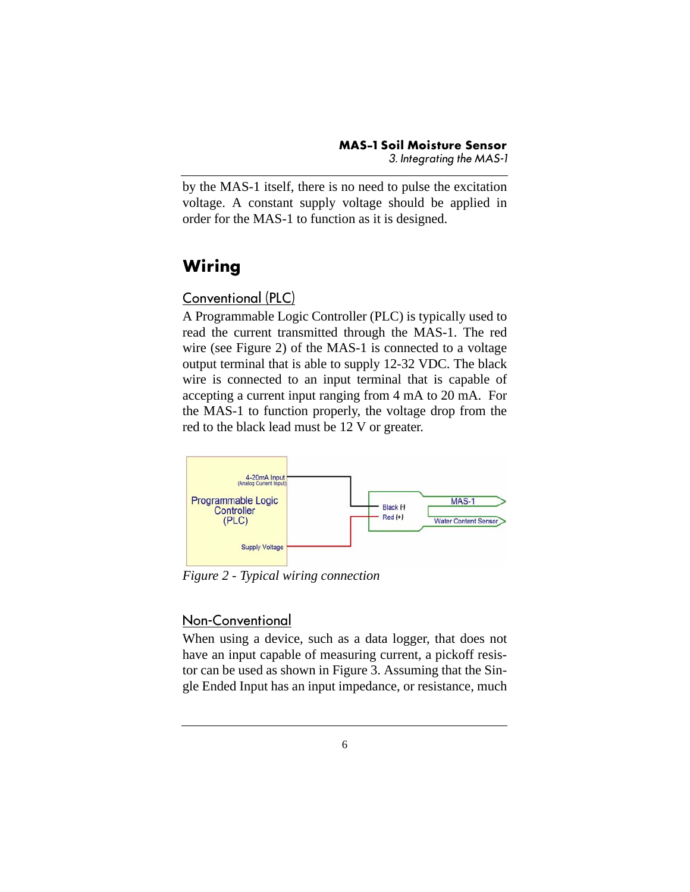by the MAS-1 itself, there is no need to pulse the excitation voltage. A constant supply voltage should be applied in order for the MAS-1 to function as it is designed.

### <span id="page-7-0"></span>**Wiring**

#### <span id="page-7-1"></span>Conventional (PLC)

A Programmable Logic Controller (PLC) is typically used to read the current transmitted through the MAS-1. The red wire (see Figure 2) of the MAS-1 is connected to a voltage output terminal that is able to supply 12-32 VDC. The black wire is connected to an input terminal that is capable of accepting a current input ranging from 4 mA to 20 mA. For the MAS-1 to function properly, the voltage drop from the red to the black lead must be 12 V or greater.



*Figure 2 - Typical wiring connection*

#### <span id="page-7-2"></span>Non-Conventional

When using a device, such as a data logger, that does not have an input capable of measuring current, a pickoff resistor can be used as shown in Figure 3. Assuming that the Single Ended Input has an input impedance, or resistance, much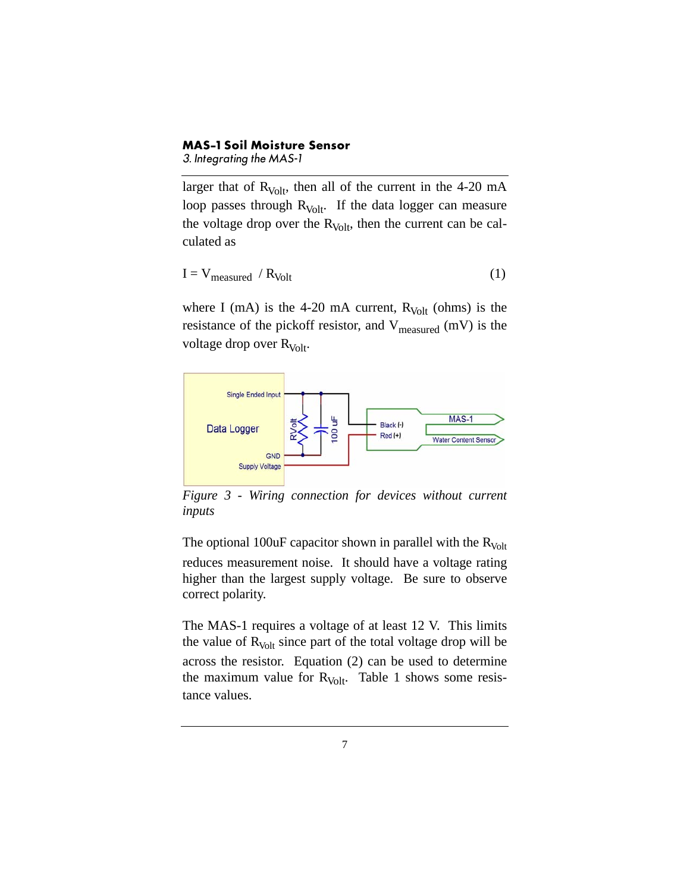#### **MAS-1 Soil Moisture Sensor**

*3. Integrating the MAS-1*

larger that of  $R_{Volt}$ , then all of the current in the 4-20 mA loop passes through  $R_{Volt}$ . If the data logger can measure the voltage drop over the  $R_{Volt}$ , then the current can be calculated as

$$
I = V_{measured} / R_{Volt}
$$
 (1)

where I (mA) is the 4-20 mA current,  $R_{\text{Vol}t}$  (ohms) is the resistance of the pickoff resistor, and  $V_{measured}$  (mV) is the voltage drop over  $R_{\text{Vol}t}$ .



*Figure 3 - Wiring connection for devices without current inputs*

The optional 100uF capacitor shown in parallel with the  $R_{Volt}$ reduces measurement noise. It should have a voltage rating higher than the largest supply voltage. Be sure to observe correct polarity.

The MAS-1 requires a voltage of at least 12 V. This limits the value of  $R_{\text{Vol}t}$  since part of the total voltage drop will be across the resistor. Equation (2) can be used to determine the maximum value for  $R_{Volt}$ . Table 1 shows some resistance values.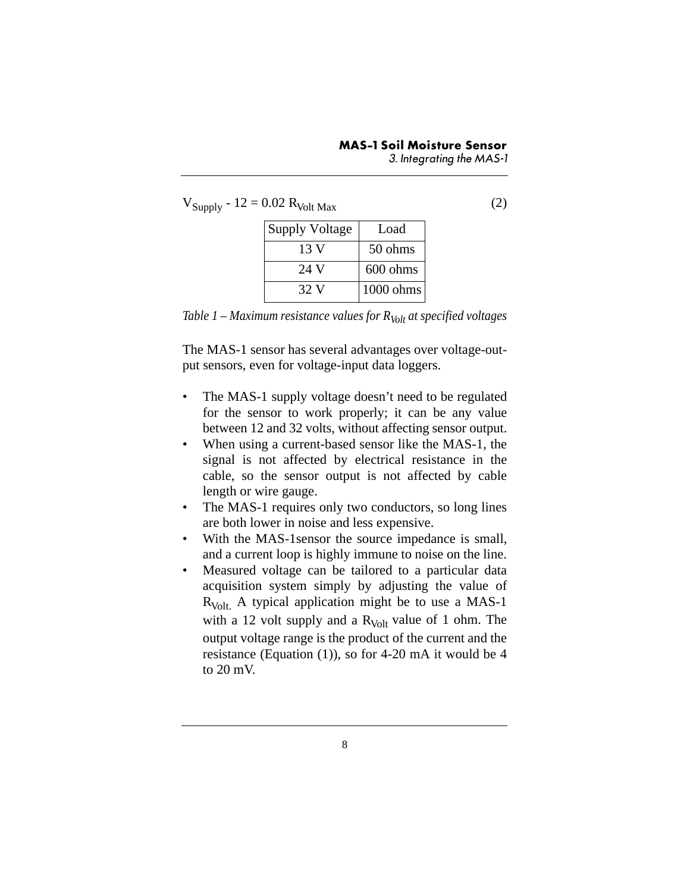$V_{\text{Sunply}} - 12 = 0.02 R_{\text{Volt Max}}$  (2)

| <b>Supply Voltage</b> | Load        |
|-----------------------|-------------|
| 13 V                  | 50 ohms     |
| 24 V                  | 600 ohms    |
| 32 V                  | $1000$ ohms |

*Table 1 – Maximum resistance values for*  $R_{Vol}$  *at specified voltages* 

The MAS-1 sensor has several advantages over voltage-output sensors, even for voltage-input data loggers.

- The MAS-1 supply voltage doesn't need to be regulated for the sensor to work properly; it can be any value between 12 and 32 volts, without affecting sensor output.
- When using a current-based sensor like the MAS-1, the signal is not affected by electrical resistance in the cable, so the sensor output is not affected by cable length or wire gauge.
- The MAS-1 requires only two conductors, so long lines are both lower in noise and less expensive.
- With the MAS-1sensor the source impedance is small, and a current loop is highly immune to noise on the line.
- Measured voltage can be tailored to a particular data acquisition system simply by adjusting the value of  $R_{\text{Vol}t}$ . A typical application might be to use a MAS-1 with a 12 volt supply and a  $R_{Volt}$  value of 1 ohm. The output voltage range is the product of the current and the resistance (Equation (1)), so for 4-20 mA it would be 4 to 20 mV.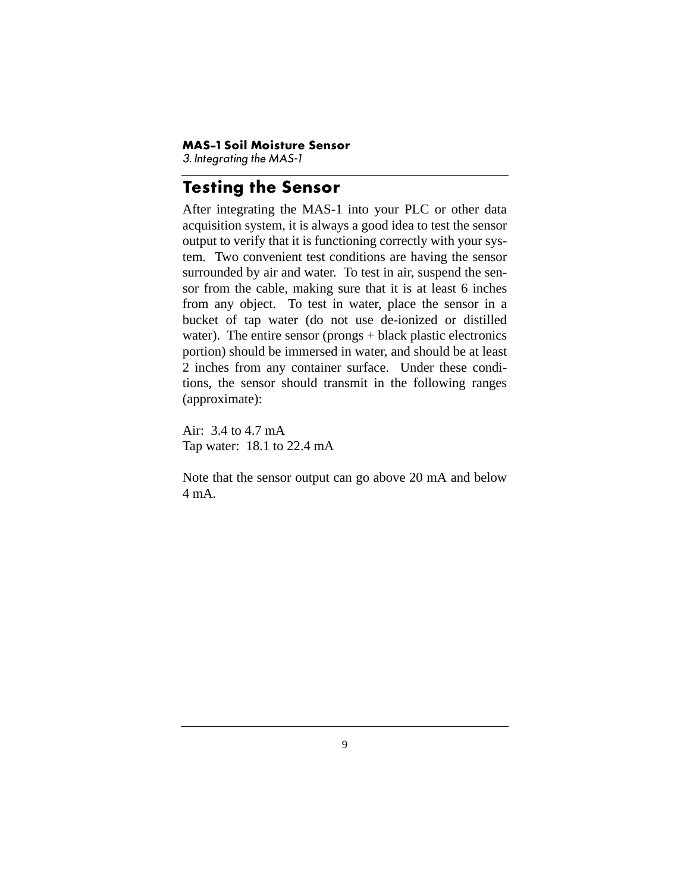#### **MAS-1 Soil Moisture Sensor**

*3. Integrating the MAS-1*

#### <span id="page-10-0"></span>**Testing the Sensor**

After integrating the MAS-1 into your PLC or other data acquisition system, it is always a good idea to test the sensor output to verify that it is functioning correctly with your system. Two convenient test conditions are having the sensor surrounded by air and water. To test in air, suspend the sensor from the cable, making sure that it is at least 6 inches from any object. To test in water, place the sensor in a bucket of tap water (do not use de-ionized or distilled water). The entire sensor (prongs + black plastic electronics portion) should be immersed in water, and should be at least 2 inches from any container surface. Under these conditions, the sensor should transmit in the following ranges (approximate):

Air: 3.4 to 4.7 mA Tap water: 18.1 to 22.4 mA

Note that the sensor output can go above 20 mA and below  $4 \text{ mA}$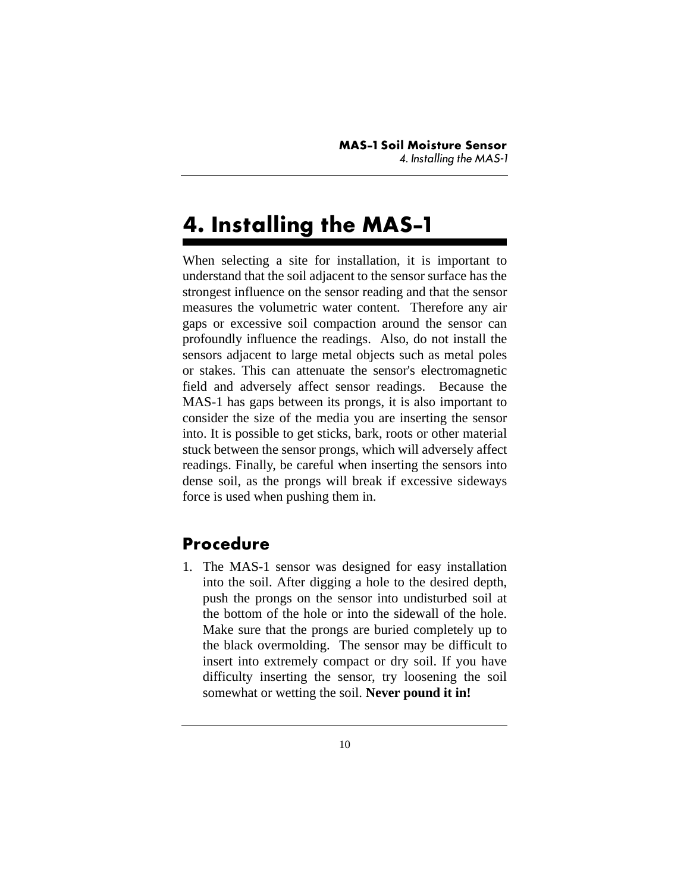# <span id="page-11-0"></span>**4. Installing the MAS-1**

When selecting a site for installation, it is important to understand that the soil adjacent to the sensor surface has the strongest influence on the sensor reading and that the sensor measures the volumetric water content. Therefore any air gaps or excessive soil compaction around the sensor can profoundly influence the readings. Also, do not install the sensors adjacent to large metal objects such as metal poles or stakes. This can attenuate the sensor's electromagnetic field and adversely affect sensor readings. Because the MAS-1 has gaps between its prongs, it is also important to consider the size of the media you are inserting the sensor into. It is possible to get sticks, bark, roots or other material stuck between the sensor prongs, which will adversely affect readings. Finally, be careful when inserting the sensors into dense soil, as the prongs will break if excessive sideways force is used when pushing them in.

#### <span id="page-11-1"></span>**Procedure**

1. The MAS-1 sensor was designed for easy installation into the soil. After digging a hole to the desired depth, push the prongs on the sensor into undisturbed soil at the bottom of the hole or into the sidewall of the hole. Make sure that the prongs are buried completely up to the black overmolding. The sensor may be difficult to insert into extremely compact or dry soil. If you have difficulty inserting the sensor, try loosening the soil somewhat or wetting the soil. **Never pound it in!**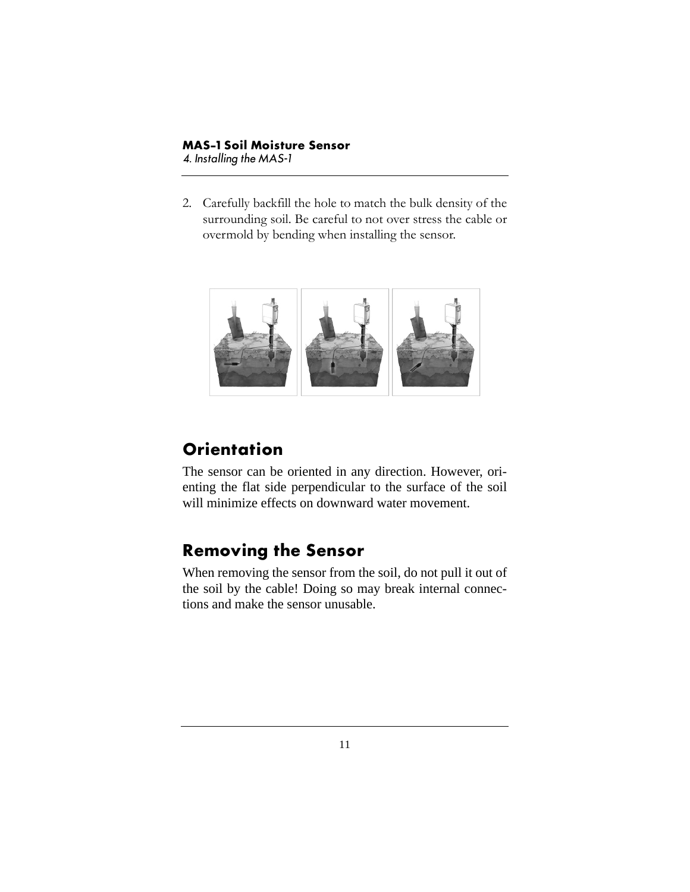2. Carefully backfill the hole to match the bulk density of the surrounding soil. Be careful to not over stress the cable or overmold by bending when installing the sensor.



### <span id="page-12-0"></span>**Orientation**

The sensor can be oriented in any direction. However, orienting the flat side perpendicular to the surface of the soil will minimize effects on downward water movement.

#### <span id="page-12-1"></span>**Removing the Sensor**

When removing the sensor from the soil, do not pull it out of the soil by the cable! Doing so may break internal connections and make the sensor unusable.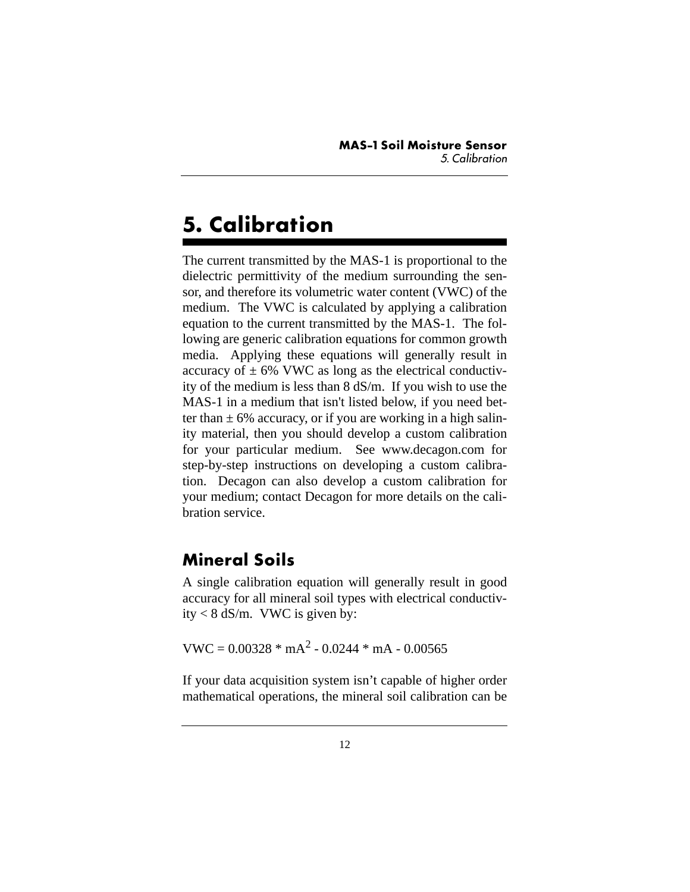# <span id="page-13-0"></span>**5. Calibration**

The current transmitted by the MAS-1 is proportional to the dielectric permittivity of the medium surrounding the sensor, and therefore its volumetric water content (VWC) of the medium. The VWC is calculated by applying a calibration equation to the current transmitted by the MAS-1. The following are generic calibration equations for common growth media. Applying these equations will generally result in accuracy of  $\pm$  6% VWC as long as the electrical conductivity of the medium is less than 8 dS/m. If you wish to use the MAS-1 in a medium that isn't listed below, if you need better than  $\pm$  6% accuracy, or if you are working in a high salinity material, then you should develop a custom calibration for your particular medium. See www.decagon.com for step-by-step instructions on developing a custom calibration. Decagon can also develop a custom calibration for your medium; contact Decagon for more details on the calibration service.

### <span id="page-13-1"></span>**Mineral Soils**

A single calibration equation will generally result in good accuracy for all mineral soil types with electrical conductivity < 8 dS/m. VWC is given by:

$$
VWC = 0.00328 * mA2 - 0.0244 * mA - 0.00565
$$

If your data acquisition system isn't capable of higher order mathematical operations, the mineral soil calibration can be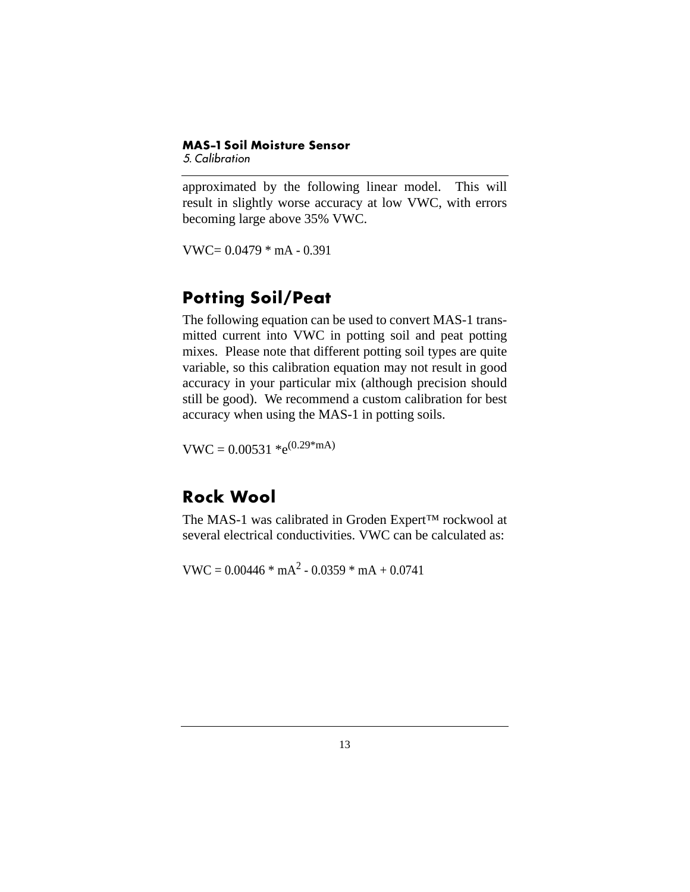#### **MAS-1 Soil Moisture Sensor** *5. Calibration*

approximated by the following linear model. This will result in slightly worse accuracy at low VWC, with errors becoming large above 35% VWC.

 $VWC = 0.0479 * mA - 0.391$ 

### <span id="page-14-0"></span>**Potting Soil/Peat**

The following equation can be used to convert MAS-1 transmitted current into VWC in potting soil and peat potting mixes. Please note that different potting soil types are quite variable, so this calibration equation may not result in good accuracy in your particular mix (although precision should still be good). We recommend a custom calibration for best accuracy when using the MAS-1 in potting soils.

 $VWC = 0.00531 *e^{(0.29*mA)}$ 

#### <span id="page-14-1"></span>**Rock Wool**

The MAS-1 was calibrated in Groden Expert™ rockwool at several electrical conductivities. VWC can be calculated as:

 $VWC = 0.00446 * mA^2 - 0.0359 * mA + 0.0741$